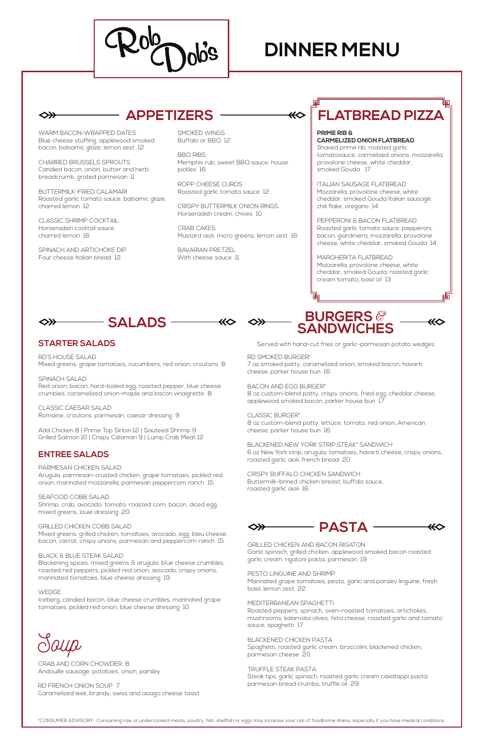

# **DINNER MENU**

⋘

\*CONSUMER ADVISORY: Consuming raw or undercooked meats, poultry, fish, shellfish or eggs may increase your risk of foodborne illness, especially if you have medical conditions.

WARM BACON-WRAPPED DATES Blue cheese stuffing, applewood smoked bacon, balsamic glaze, lemon zest 12

CHARRED BRUSSELS SPROUTS Candied bacon, onion, butter and herb breadcrumb, grated parmesan 11

BUTTERMILK-FRIED CALAMARI Roasted garlic tomato sauce, balsamic glaze, charred lemon 12

> BAVARIAN PRETZEL With cheese sauce 11

CLASSIC SHRIMP COCKTAIL Horseradish cocktail sauce, charred lemon 16

◇≫

SPINACH AND ARTICHOKE DIP Four cheese Italian bread 12

SMOKED WINGS Buffalo or BBQ 12

BBQ RIBS Memphis rub, sweet BBQ sauce, house pickles 16

ROPP CHEESE CURDS Roasted garlic tomato sauce 12

CRISPY BUTTERMILK ONION RINGS Horseradish cream, chives 10

CRAB CAKES Mustard aioli, micro greens, lemon zest 16

## **APPETIZERS**



**PRIME RIB & CARMELIZED ONION FLATBREAD** Shaved prime rib, roasted garlic tomatosauce, carmelized onions, mozzarella, provolone cheese, white cheddar,

smoked Gouda 17

ITALIAN SAUSAGE FLATBREAD Mozzarella, provolone cheese, white cheddar, smoked Gouda Italian sausage, chili flake, oregano 14

PEPPERONI & BACON FLATBREAD Roasted garlic tomato sauce, pepperoni, bacon, giardiniera, mozzarella, provolone cheese, white cheddar, smoked Gouda 14

MARGHERITA FLATBREAD Mozzarella, provolone cheese, white cheddar, smoked Gouda, roasted garlic cream tomato, basil oil 13

## **FLATBREAD PIZZA**

### **STARTER SALADS**

RD'S HOUSE SALAD Mixed greens, grape tomatoes, cucumbers, red onion, croutons 8

SPINACH SALAD Red onion, bacon, hard-boiled egg, roasted pepper, blue cheese crumbles, caramelized onion-maple and bacon vinaigrette 8

CLASSIC CAESAR SALAD Romaine, croutons, parmesan, caesar dressing 9

Add Chicken 8 | Prime Top Sirloin 12 | Sauteed Shrimp 9 Grilled Salmon 10 | Crispy Calamari 9 | Lump Crab Meat 12

### **ENTREE SALADS**

### PARMESAN CHICKEN SALAD

Arugula, parmesan-crusted chicken, grape tomatoes, pickled red onion, marinated mozzarella, parmesan peppercorn ranch 15

SEAFOOD COBB SALAD

Shrimp, crab, avocado, tomato, roasted corn, bacon, diced egg, mixed greens, louie dressing 20

### GRILLED CHICKEN COBB SALAD

Mixed greens, grilled chicken, tomatoes, avocado, egg, bleu cheese, bacon, carrot, crispy onions, parmesan and peppercorn ranch 15

### BLACK & BLUE STEAK SALAD

Blackening spices, mixed greens & arugula, blue cheese crumbles, roasted red peppers, pickled red onion, avocado, crispy onions, marinated tomatoes, blue cheese dressing 19

#### WEDGE

Iceberg, candied bacon, blue cheese crumbles, marinated grape tomatoes, pickled red onion, blue cheese dressing 10



**BURGERS** & **SANDWICHES**

Served with hand-cut fries or garlic-parmesan potato wedges

### RD SMOKED BURGER\*

7 oz smoked patty, caramelized onion, smoked bacon, havarti cheese, parker house bun 16

BACON AND EGG BURGER\*

8 oz custom-blend patty, crispy onions, fried egg, cheddar cheese, applewood smoked bacon, parker house bun 17

CLASSIC BURGER\*

8 oz custom-blend patty, lettuce, tomato, red onion, American cheese, parker house bun 16

BLACKENED NEW YORK STRIP STEAK\* SANDWICH 6 oz New York strip, arugula, tomatoes, havarti cheese, crispy onions, roasted garlic aioli, french bread 20

CRISPY BUFFALO CHICKEN SANDWICH Buttermilk-brined chicken breast, buffalo sauce, roasted garlic aioli 16

GRILLED CHICKEN AND BACON RIGATON

Garlic spinach, grilled chicken, applewood smoked bacon roasted garlic cream, rigatoni pasta, parmesan 19

⋘

### PESTO LINGUINE AND SHRIMP

Marinated grape tomatoes, pesto, garlic and parsley linguine, fresh basil, lemon zest 22

### MEDITERRANEAN SPAGHETTI

Roasted peppers, spinach, oven-roasted tomatoes, artichokes, mushrooms, kalamata olives, feta cheese, roasted garlic and tomato sauce, spaghetti 17

### BLACKENED CHICKEN PASTA

Spaghetti, roasted garlic cream, broccolini, blackened chicken, parmesan cheese 20

TRUFFLE STEAK PASTA Steak tips, garlic spinach, roasted garlic cream cavatappi pasta, parmesan bread crumbs, truffle oil 29

# Soup

CRAB AND CORN CHOWDER 8 Andouille sausage, potatoes, onion, parsley

RD FRENCH ONION SOUP 7 Caramelized leek, brandy, swiss and asiago cheese toast